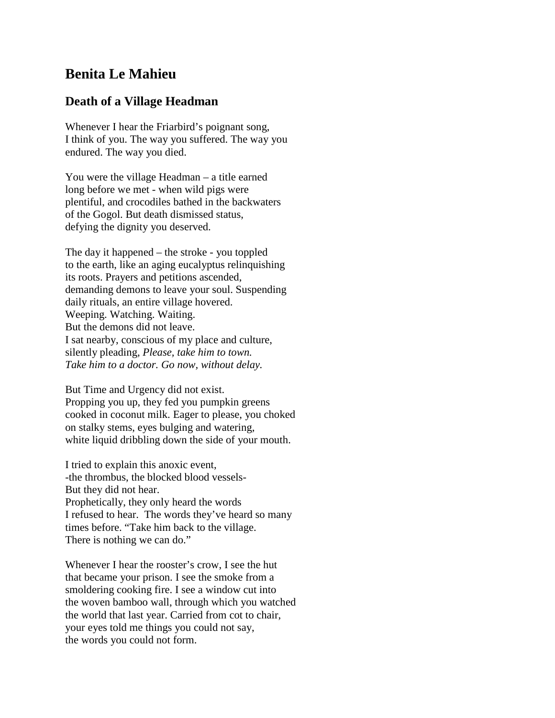## **Benita Le Mahieu**

## **Death of a Village Headman**

Whenever I hear the Friarbird's poignant song, I think of you. The way you suffered. The way you endured. The way you died.

You were the village Headman – a title earned long before we met - when wild pigs were plentiful, and crocodiles bathed in the backwaters of the Gogol. But death dismissed status, defying the dignity you deserved.

The day it happened – the stroke - you toppled to the earth, like an aging eucalyptus relinquishing its roots. Prayers and petitions ascended, demanding demons to leave your soul. Suspending daily rituals, an entire village hovered. Weeping. Watching. Waiting. But the demons did not leave. I sat nearby, conscious of my place and culture, silently pleading, *Please, take him to town. Take him to a doctor. Go now, without delay.*

But Time and Urgency did not exist. Propping you up, they fed you pumpkin greens cooked in coconut milk. Eager to please, you choked on stalky stems, eyes bulging and watering, white liquid dribbling down the side of your mouth.

I tried to explain this anoxic event, -the thrombus, the blocked blood vessels-But they did not hear. Prophetically, they only heard the words I refused to hear. The words they've heard so many times before. "Take him back to the village. There is nothing we can do."

Whenever I hear the rooster's crow, I see the hut that became your prison. I see the smoke from a smoldering cooking fire. I see a window cut into the woven bamboo wall, through which you watched the world that last year. Carried from cot to chair, your eyes told me things you could not say, the words you could not form.